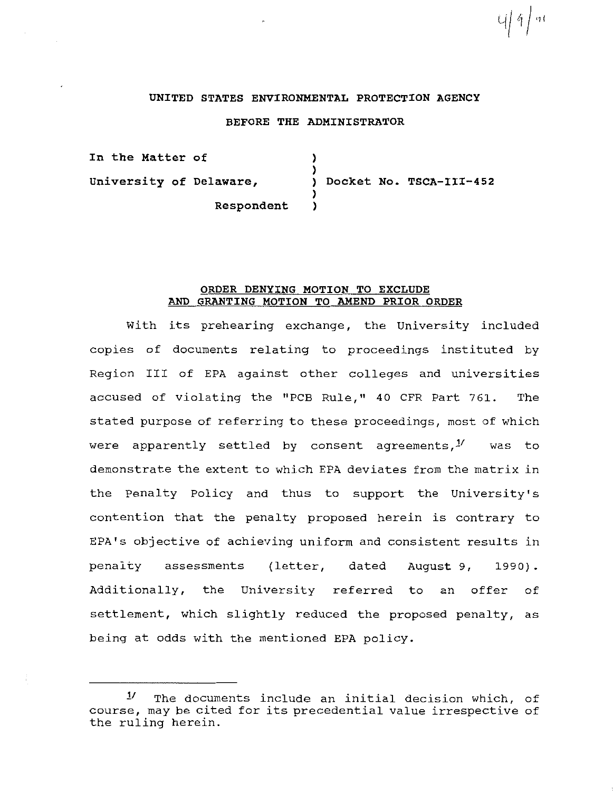## **UNITED STATES ENVIRONMENTAL PROTECTION AGENCY**

U| 4 | 91

## **BEFORE THE ADMINISTRATOR**

**In the Matter of university of Delaware, Respondent**  ) ) ) **Docket No. TSCA-III-452**  ) )

### **ORDER DENYING MOTION TO EXCLUDE AND GRANTING MOTION TO AMEND PRIOR ORDER**

With its prehearing exchange, the University included copies of documents relating to proceedings instituted by Region III of EPA against other colleges and universities accused of violating the "PCB Rule," 40 CFR Part 761. The stated purpose of referring to these proceedings, most of which were apparently settled by consent agreements, $1/1$  was to demonstrate the extent to which EPA deviates from the matrix in the Penalty Policy and thus to support the University's contention that the penalty proposed herein is contrary to EPA's objective of achieving uniform and consistent results in penalty assessments (letter, dated August 9, 1990). Additionally, the University referred to an offer of settlement, which slightly reduced the proposed penalty, as being at odds with the mentioned EPA policy.

<sup>1!</sup> The documents include an initial decision which, of course, may be cited for its precedential value irrespective of the ruling herein.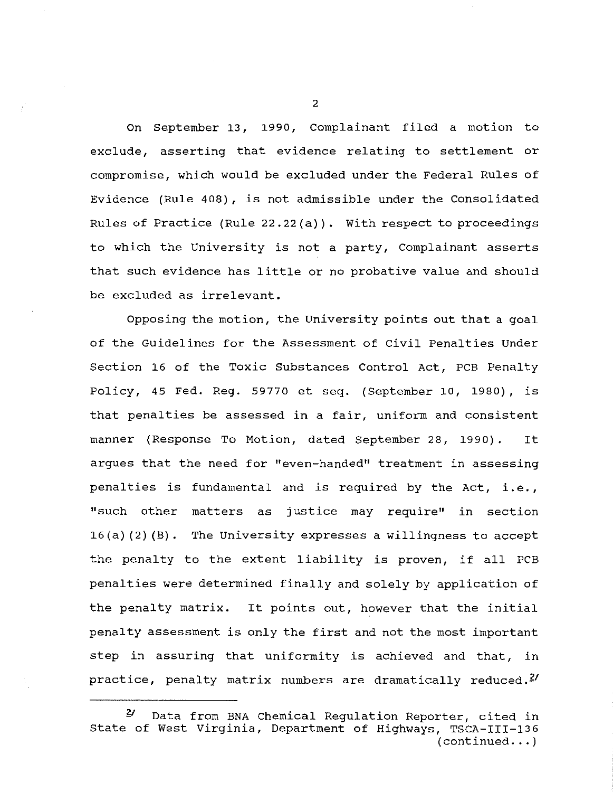On September 13, 1990, Complainant filed a motion to exclude, asserting that evidence relating to settlement or compromise, which would be excluded under the Federal Rules of Evidence (Rule 408), is not admissible under the Consolidated Rules of Practice (Rule 22.22(a)). With respect to proceedings to which the University is not a party, Complainant asserts that such evidence has little or no probative value and should be excluded as irrelevant.

Opposing the motion, the University points out that a goal of the Guidelines for the Assessment of civil Penalties Under Section 16 of the Toxic Substances Control Act, PCB Penalty Policy, 45 Fed. Reg. 59770 et seq. (September 10, 1980), is that penalties be assessed *in* a fair, uniform and consistent manner (Response To Motion, dated September 28, 1990) . It argues that the need for "even-handed" treatment in assessing penalties is fundamental and is required by the Act, i.e., "such other matters as justice may require" *in* section 16(a) (2) (B). The University expresses a willingness to accept the penalty to the extent liability is proven, if all PCB penalties were determined finally and solely by application of the penalty matrix. It points out, however that the initial penalty assessment is only the first and not the most important step *in* assuring that uniformity is achieved and that, *in*  practice, penalty matrix numbers are dramatically reduced.<sup>2/</sup>

*Y* Data from BNA Chemical Regulation Reporter, cited in State of West Virginia, Department of Highways, TSCA-III-136  $(continued... )$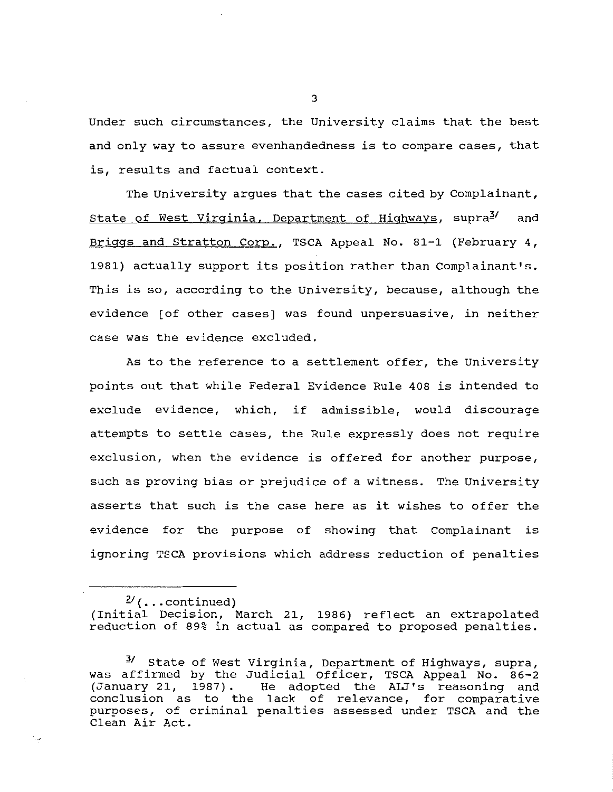Under such circumstances, the University claims that the best and only way to assure evenhandedness is to compare cases, that is, results and factual context.

The University argues that the cases cited by Complainant, State of West Virginia, Department of Highways, supra<sup>3/</sup> and Briggs and stratton Corp., TSCA Appeal No. 81-1 (February 4, 1981) actually support its position rather than Complainant's. This is so, according to the University, because, although the evidence [of other cases] was found unpersuasive, in neither case was the evidence excluded.

As to the reference to a settlement offer, the University points out that while Federal Evidence Rule 408 is intended to exclude evidence, which, if admissible, would discourage attempts to settle cases, the Rule expressly does not require exclusion, when the evidence is offered for another purpose, such as proving bias or prejudice of a witness. The University asserts that such is the case here as it wishes to offer the evidence for the purpose of showing that Complainant is ignoring TSCA provisions which address reduction of penalties

 $\frac{2}{3}$  (... continued)

Λy.

(Initial Decision, March 21, 1986) reflect an extrapolated reduction of 89% in actual as compared to proposed penalties.

3/ State of West Virginia, Department of Highways, supra, was affirmed by the Judicial Officer, TSCA Appeal No. 86-2 (January 21, 1987). He adopted the AIJ's reasoning and conclusion as to the lack of relevance, for comparative purposes, of criminal penalties assessed under TSCA and the Clean Air Act.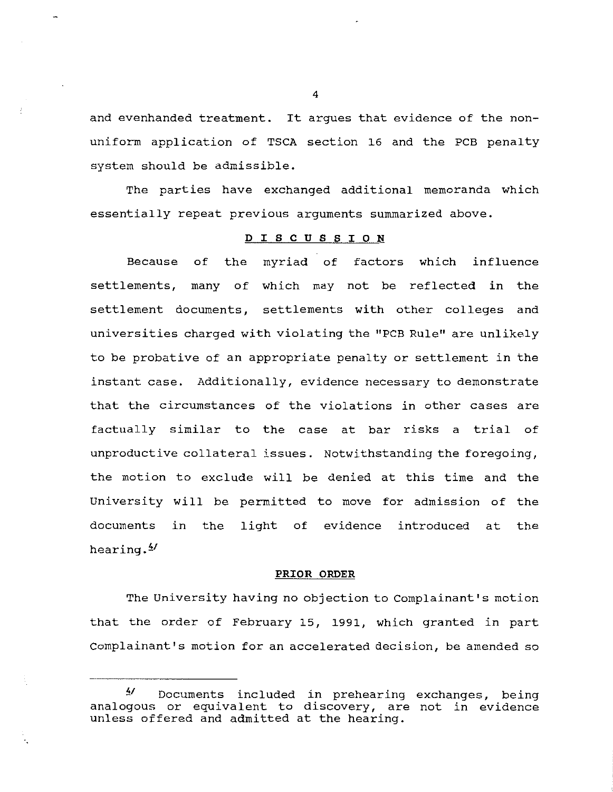and evenhanded treatment. It argues that evidence of the nonuniform application of TSCA section 16 and the PCB penalty system should be admissible.

The parties have exchanged additional memoranda which essentially repeat previous arguments summarized above.

### **D I S C U S S I 0 N**

Because of the myriad of factors which influence settlements, many of which may not be reflected in the settlement documents, settlements with other colleges and universities charged with violating the "PCB Rule" are unlikely to be probative of an appropriate penalty or settlement in the instant case. Additionally, evidence necessary to demonstrate that the circumstances of the violations in other cases are factually similar to the case at bar risks a trial of unproductive collateral issues. Notwithstanding the foregoing, the motion to exclude will be denied at this time and the University will be permitted to move for admission of the documents in the light of evidence introduced at the hearing.<sup>4</sup>

#### **PRIOR ORDER**

The University having no objection to Complainant's motion that the order of February 15, 1991, which granted in part Complainant's motion for an accelerated decision, be amended so

*Y* Documents included in prehearing exchanges, being analogous or equivalent to discovery, are not in evidence unless offered and admitted at the hearing.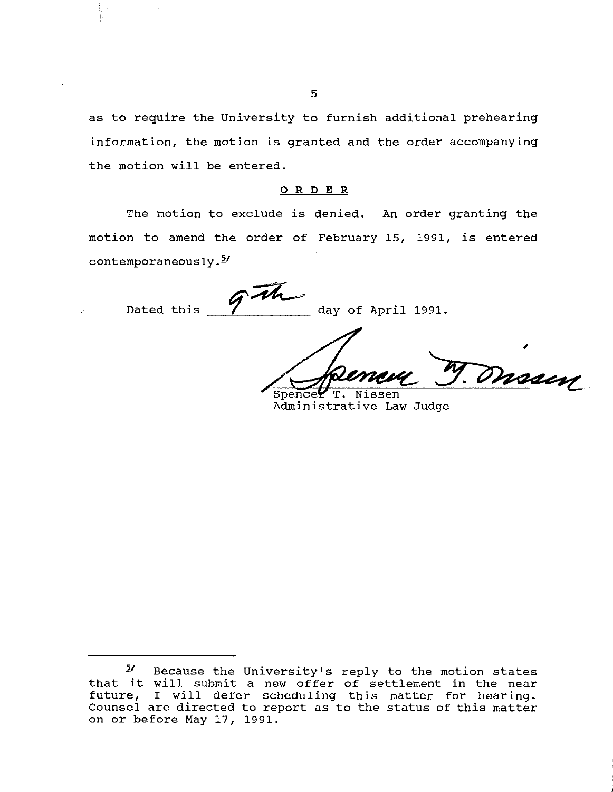as to require the University to furnish additional prehearing information, the motion is granted and the order accompanying the motion will be entered.

## 0 R DE R

The motion to exclude is denied. An order granting the motion to amend the order of February 15, 1991, is entered  $contemporaneously.$ <sup> $5/$ </sup>

Th.

Dated this 7 day of April 1991.

Dussen  $Spence<sub>K</sub>$  $T$ . ssen

Administrative Law Judge

 $5'$  Because the University's reply to the motion states that it will submit a new offer of settlement in the near future, I will defer scheduling this matter for hearing. Counsel are directed to report as to the status of this matter on or before May 17, 1991.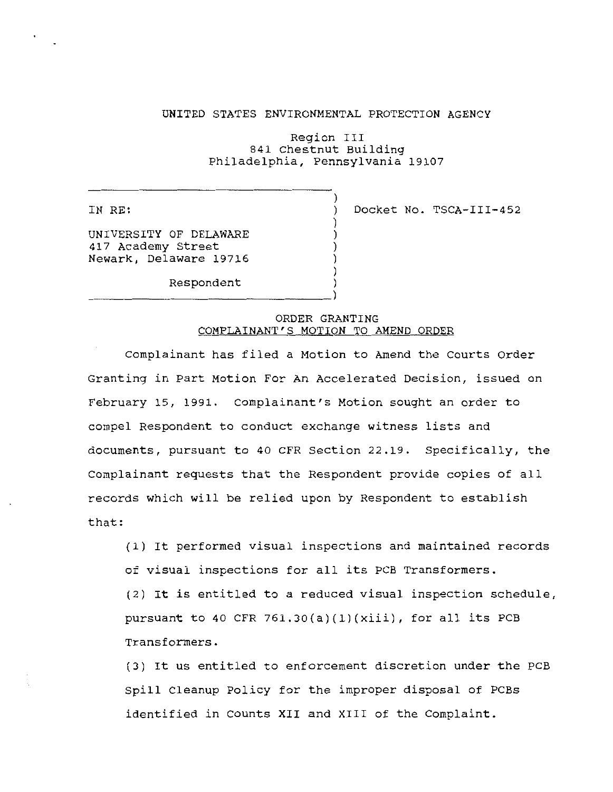### UNITED STATES ENVIRONMENTAL PROTECTION AGENCY

Region III 841 Chestnut Building Philadelphia, Pennsylvania 19107

)

) ) ) ) )

IN RE:

) Docket No. TSCA-III-452

UNIVERSITY OF DELAWARE 417 Academy Street Newark, Delaware 19716

Respondent )<br>(

# ORDER GRANTING COMPLAINANT'S MOTION TO AMEND ORDER

Complainant has filed a Motion to Amend the Courts Order Granting in Part Motion For An Accelerated Decision, issued on February 15, 1991. Complainant's Motion sought an order to compel Respondent to conduct exchange witness lists and documents, pursuant to 40 CFR Section 22.19. Specifically, the Complainant requests that the Respondent provide copies of all records which will be relied upon by Respondent to establish that:

(1) It performed visual inspections and maintained records of visual inspections for all its PCB Transformers. (2) It is entitled to a reduced visual inspection schedule, pursuant to 40 CFR 761.30(a)(1)(xiii), for all its PCB Transformers.

(3) It us entitled to enforcement discretion under the PCB Spill Cleanup Policy for the improper disposal of PCBs identified in counts XII and XIII of the Complaint.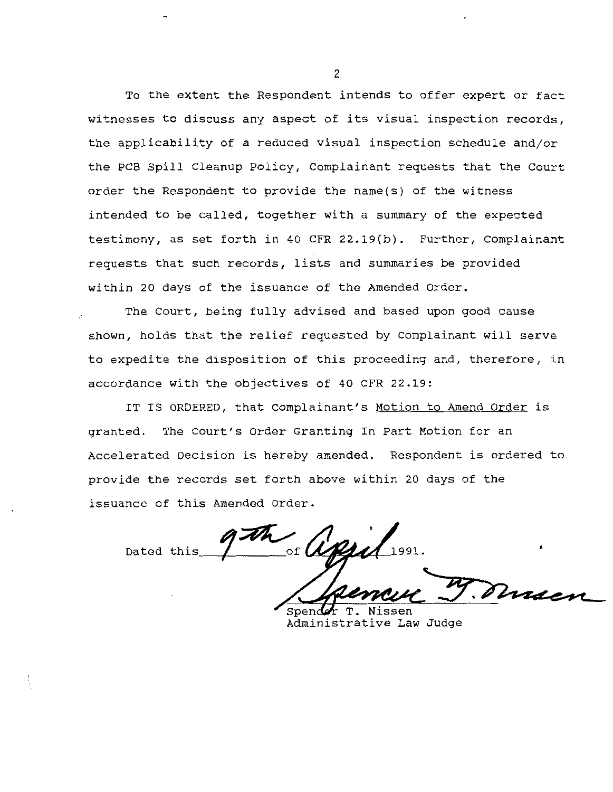To the extent the Respondent intends to offer expert or fact witnesses to discuss any aspect of its visual inspection records, the applicability of a reduced visual inspection schedule and/or the PCB Spill Cleanup Policy, complainant requests that the Court order the Respondent to provide the name(s) of the witness intended to be called, together with a summary of the expected testimony, as set forth in 40 CFR 22.19(b). Further, Complainant requests that such records, lists and summaries be provided within 20 days of the issuance of the Amended Order.

The Court, being fully advised and based upon good cause shown, holds that the relief requested by Complainant will serve to expedite the disposition of this proceeding and, therefore, in accordance with the objectives of 40 CFR 22.19:

IT IS ORDERED, that Complainant's Motion to Amend Order is granted. The Court's Order Granting In Part Motion for an Accelerated Decision is hereby amended. Respondent is ordered to provide the records set forth above within 20 days of the issuance of this Amended Order.

of  $\mathcal{U}$ Dated this

Spende Administrative Law Judge